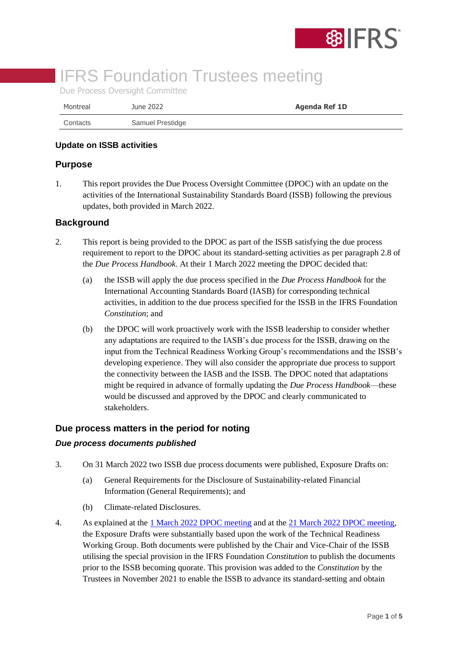

# **IFRS Foundation Trustees meeting**

Due Process Oversight Committee

| Montreal | June 2022        | <b>Agenda Ref 1D</b> |
|----------|------------------|----------------------|
| Contacts | Samuel Prestidge |                      |

#### **Update on ISSB activities**

## **Purpose**

1. This report provides the Due Process Oversight Committee (DPOC) with an update on the activities of the International Sustainability Standards Board (ISSB) following the previous updates, both provided in March 2022.

## **Background**

- 2. This report is being provided to the DPOC as part of the ISSB satisfying the due process requirement to report to the DPOC about its standard-setting activities as per paragraph 2.8 of the *Due Process Handbook*. At their 1 March 2022 meeting the DPOC decided that:
	- (a) the ISSB will apply the due process specified in the *Due Process Handbook* for the International Accounting Standards Board (IASB) for corresponding technical activities, in addition to the due process specified for the ISSB in the IFRS Foundation *Constitution*; and
	- (b) the DPOC will work proactively work with the ISSB leadership to consider whether any adaptations are required to the IASB's due process for the ISSB, drawing on the input from the Technical Readiness Working Group's recommendations and the ISSB's developing experience. They will also consider the appropriate due process to support the connectivity between the IASB and the ISSB. The DPOC noted that adaptations might be required in advance of formally updating the *Due Process Handbook*—these would be discussed and approved by the DPOC and clearly communicated to stakeholders.

## **Due process matters in the period for noting**

#### *Due process documents published*

- 3. On 31 March 2022 two ISSB due process documents were published, Exposure Drafts on:
	- (a) General Requirements for the Disclosure of Sustainability-related Financial Information (General Requirements); and
	- (b) Climate-related Disclosures.
- 4. As explained at the [1 March 2022 DPOC meeting](https://www.ifrs.org/content/dam/ifrs/meetings/2022/march/dpoc/ap1e-dpoc-trwg-and-existing-standand-setters-process.pdf) and at the [21 March 2022 DPOC meeting,](https://www.ifrs.org/content/dam/ifrs/meetings/2022/march/dpoc-2/dpoc-paper-1b-chair-vc-rationale.pdf) the Exposure Drafts were substantially based upon the work of the Technical Readiness Working Group. Both documents were published by the Chair and Vice-Chair of the ISSB utilising the special provision in the IFRS Foundation *Constitution* to publish the documents prior to the ISSB becoming quorate. This provision was added to the *Constitution* by the Trustees in November 2021 to enable the ISSB to advance its standard-setting and obtain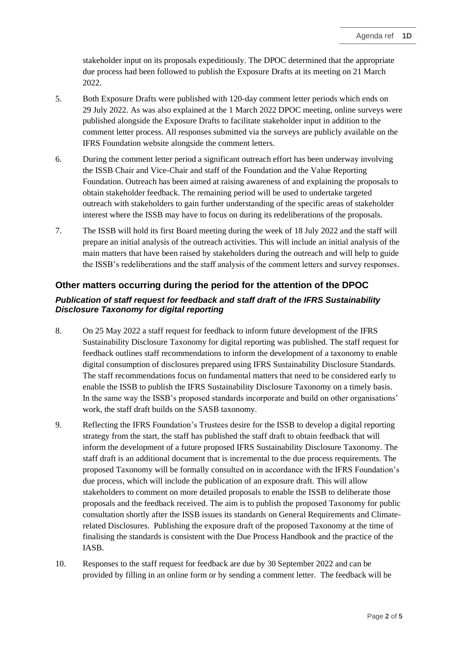stakeholder input on its proposals expeditiously. The DPOC determined that the appropriate due process had been followed to publish the Exposure Drafts at its meeting on 21 March 2022.

- 5. Both Exposure Drafts were published with 120-day comment letter periods which ends on 29 July 2022. As was also explained at the 1 March 2022 DPOC meeting, online surveys were published alongside the Exposure Drafts to facilitate stakeholder input in addition to the comment letter process. All responses submitted via the surveys are publicly available on the IFRS Foundation website alongside the comment letters.
- 6. During the comment letter period a significant outreach effort has been underway involving the ISSB Chair and Vice-Chair and staff of the Foundation and the Value Reporting Foundation. Outreach has been aimed at raising awareness of and explaining the proposals to obtain stakeholder feedback. The remaining period will be used to undertake targeted outreach with stakeholders to gain further understanding of the specific areas of stakeholder interest where the ISSB may have to focus on during its redeliberations of the proposals.
- 7. The ISSB will hold its first Board meeting during the week of 18 July 2022 and the staff will prepare an initial analysis of the outreach activities. This will include an initial analysis of the main matters that have been raised by stakeholders during the outreach and will help to guide the ISSB's redeliberations and the staff analysis of the comment letters and survey responses.

## **Other matters occurring during the period for the attention of the DPOC**

## *Publication of staff request for feedback and staff draft of the IFRS Sustainability Disclosure Taxonomy for digital reporting*

- 8. On 25 May 2022 a staff request for feedback to inform future development of the IFRS Sustainability Disclosure Taxonomy for digital reporting was published. The staff request for feedback outlines staff recommendations to inform the development of a taxonomy to enable digital consumption of disclosures prepared using IFRS Sustainability Disclosure Standards. The staff recommendations focus on fundamental matters that need to be considered early to enable the ISSB to publish the IFRS Sustainability Disclosure Taxonomy on a timely basis. In the same way the ISSB's proposed standards incorporate and build on other organisations' work, the staff draft builds on the SASB taxonomy.
- 9. Reflecting the IFRS Foundation's Trustees desire for the ISSB to develop a digital reporting strategy from the start, the staff has published the staff draft to obtain feedback that will inform the development of a future proposed IFRS Sustainability Disclosure Taxonomy. The staff draft is an additional document that is incremental to the due process requirements. The proposed Taxonomy will be formally consulted on in accordance with the IFRS Foundation's due process, which will include the publication of an exposure draft. This will allow stakeholders to comment on more detailed proposals to enable the ISSB to deliberate those proposals and the feedback received. The aim is to publish the proposed Taxonomy for public consultation shortly after the ISSB issues its standards on General Requirements and Climaterelated Disclosures. Publishing the exposure draft of the proposed Taxonomy at the time of finalising the standards is consistent with the Due Process Handbook and the practice of the IASB.
- 10. Responses to the staff request for feedback are due by 30 September 2022 and can be provided by filling in an online form or by sending a comment letter. The feedback will be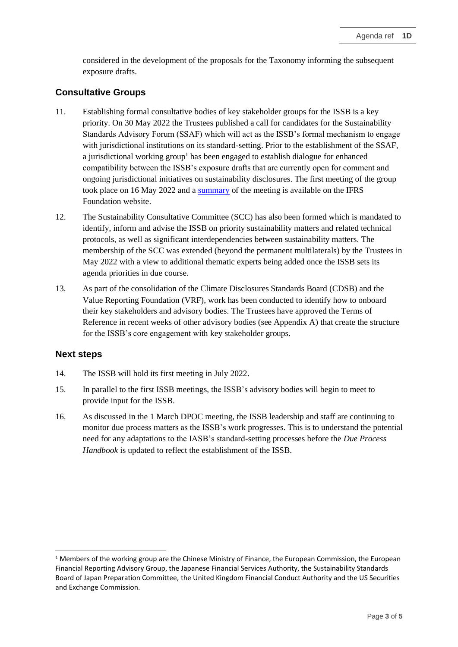considered in the development of the proposals for the Taxonomy informing the subsequent exposure drafts.

## **Consultative Groups**

- 11. Establishing formal consultative bodies of key stakeholder groups for the ISSB is a key priority. On 30 May 2022 the Trustees published a call for candidates for the Sustainability Standards Advisory Forum (SSAF) which will act as the ISSB's formal mechanism to engage with jurisdictional institutions on its standard-setting. Prior to the establishment of the SSAF, a jurisdictional working group<sup>1</sup> has been engaged to establish dialogue for enhanced compatibility between the ISSB's exposure drafts that are currently open for comment and ongoing jurisdictional initiatives on sustainability disclosures. The first meeting of the group took place on 16 May 2022 and a [summary](https://www.ifrs.org/news-and-events/calendar/2022/may/jurisdictional-working-group/) of the meeting is available on the IFRS Foundation website.
- 12. The Sustainability Consultative Committee (SCC) has also been formed which is mandated to identify, inform and advise the ISSB on priority sustainability matters and related technical protocols, as well as significant interdependencies between sustainability matters. The membership of the SCC was extended (beyond the permanent multilaterals) by the Trustees in May 2022 with a view to additional thematic experts being added once the ISSB sets its agenda priorities in due course.
- 13. As part of the consolidation of the Climate Disclosures Standards Board (CDSB) and the Value Reporting Foundation (VRF), work has been conducted to identify how to onboard their key stakeholders and advisory bodies. The Trustees have approved the Terms of Reference in recent weeks of other advisory bodies (see Appendix A) that create the structure for the ISSB's core engagement with key stakeholder groups.

## **Next steps**

- 14. The ISSB will hold its first meeting in July 2022.
- 15. In parallel to the first ISSB meetings, the ISSB's advisory bodies will begin to meet to provide input for the ISSB.
- 16. As discussed in the 1 March DPOC meeting, the ISSB leadership and staff are continuing to monitor due process matters as the ISSB's work progresses. This is to understand the potential need for any adaptations to the IASB's standard-setting processes before the *Due Process Handbook* is updated to reflect the establishment of the ISSB.

<sup>&</sup>lt;sup>1</sup> Members of the working group are the Chinese Ministry of Finance, the European Commission, the European Financial Reporting Advisory Group, the Japanese Financial Services Authority, the Sustainability Standards Board of Japan Preparation Committee, the United Kingdom Financial Conduct Authority and the US Securities and Exchange Commission.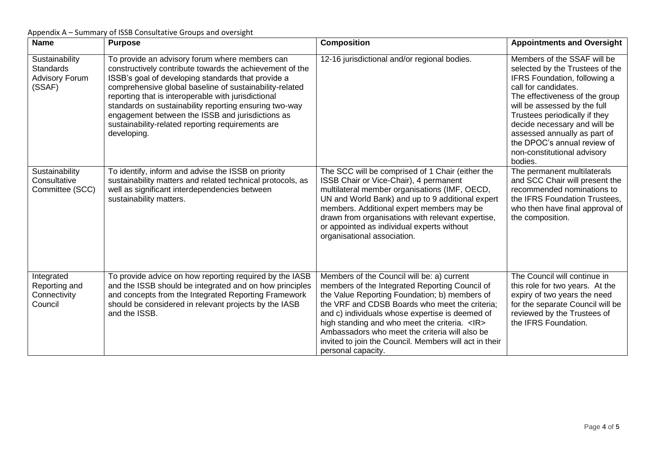Appendix A – Summary of ISSB Consultative Groups and oversight

| <b>Name</b>                                                    | <b>Purpose</b>                                                                                                                                                                                                                                                                                                                                                                                                                                                       | <b>Composition</b>                                                                                                                                                                                                                                                                                                                                                                                                                            | <b>Appointments and Oversight</b>                                                                                                                                                                                                                                                                                                                                  |
|----------------------------------------------------------------|----------------------------------------------------------------------------------------------------------------------------------------------------------------------------------------------------------------------------------------------------------------------------------------------------------------------------------------------------------------------------------------------------------------------------------------------------------------------|-----------------------------------------------------------------------------------------------------------------------------------------------------------------------------------------------------------------------------------------------------------------------------------------------------------------------------------------------------------------------------------------------------------------------------------------------|--------------------------------------------------------------------------------------------------------------------------------------------------------------------------------------------------------------------------------------------------------------------------------------------------------------------------------------------------------------------|
| Sustainability<br>Standards<br><b>Advisory Forum</b><br>(SSAF) | To provide an advisory forum where members can<br>constructively contribute towards the achievement of the<br>ISSB's goal of developing standards that provide a<br>comprehensive global baseline of sustainability-related<br>reporting that is interoperable with jurisdictional<br>standards on sustainability reporting ensuring two-way<br>engagement between the ISSB and jurisdictions as<br>sustainability-related reporting requirements are<br>developing. | 12-16 jurisdictional and/or regional bodies.                                                                                                                                                                                                                                                                                                                                                                                                  | Members of the SSAF will be<br>selected by the Trustees of the<br>IFRS Foundation, following a<br>call for candidates.<br>The effectiveness of the group<br>will be assessed by the full<br>Trustees periodically if they<br>decide necessary and will be<br>assessed annually as part of<br>the DPOC's annual review of<br>non-constitutional advisory<br>bodies. |
| Sustainability<br>Consultative<br>Committee (SCC)              | To identify, inform and advise the ISSB on priority<br>sustainability matters and related technical protocols, as<br>well as significant interdependencies between<br>sustainability matters.                                                                                                                                                                                                                                                                        | The SCC will be comprised of 1 Chair (either the<br>ISSB Chair or Vice-Chair), 4 permanent<br>multilateral member organisations (IMF, OECD,<br>UN and World Bank) and up to 9 additional expert<br>members. Additional expert members may be<br>drawn from organisations with relevant expertise,<br>or appointed as individual experts without<br>organisational association.                                                                | The permanent multilaterals<br>and SCC Chair will present the<br>recommended nominations to<br>the IFRS Foundation Trustees,<br>who then have final approval of<br>the composition.                                                                                                                                                                                |
| Integrated<br>Reporting and<br>Connectivity<br>Council         | To provide advice on how reporting required by the IASB<br>and the ISSB should be integrated and on how principles<br>and concepts from the Integrated Reporting Framework<br>should be considered in relevant projects by the IASB<br>and the ISSB.                                                                                                                                                                                                                 | Members of the Council will be: a) current<br>members of the Integrated Reporting Council of<br>the Value Reporting Foundation; b) members of<br>the VRF and CDSB Boards who meet the criteria;<br>and c) individuals whose expertise is deemed of<br>high standing and who meet the criteria. <ir><br/>Ambassadors who meet the criteria will also be<br/>invited to join the Council. Members will act in their<br/>personal capacity.</ir> | The Council will continue in<br>this role for two years. At the<br>expiry of two years the need<br>for the separate Council will be<br>reviewed by the Trustees of<br>the IFRS Foundation.                                                                                                                                                                         |